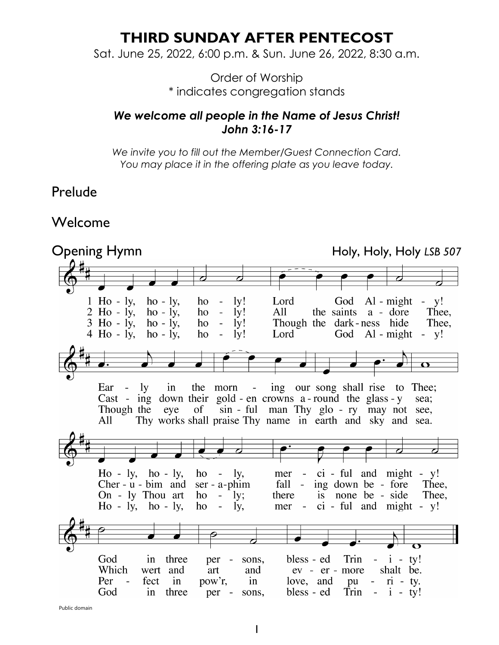# **THIRD SUNDAY AFTER PENTECOST**

Sat. June 25, 2022, 6:00 p.m. & Sun. June 26, 2022, 8:30 a.m.

Order of Worship \* indicates congregation stands

#### *We welcome all people in the Name of Jesus Christ! John 3:16-17*

*We invite you to fill out the Member/Guest Connection Card. You may place it in the offering plate as you leave today.* 

## Prelude

### Welcome



Public domain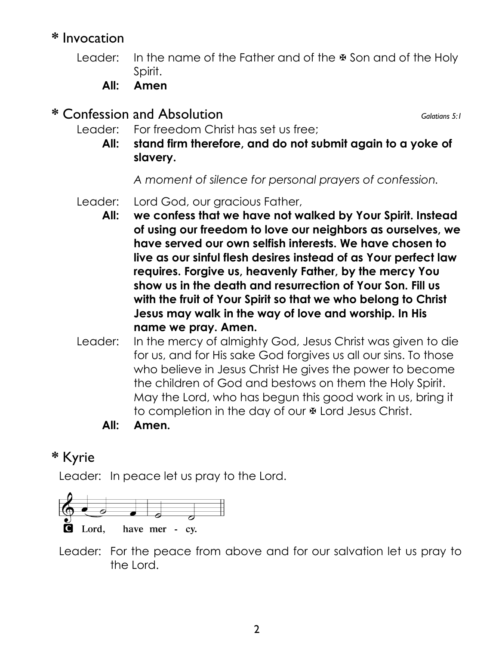## **\*** Invocation

- Leader: In the name of the Father and of the  $\overline{\mathbf{v}}$  Son and of the Holy Spirit.
	- **All: Amen**

# **\*** Confession and Absolution *Galatians 5:1*

- Leader: For freedom Christ has set us free;
	- **All: stand firm therefore, and do not submit again to a yoke of slavery.**

*A moment of silence for personal prayers of confession.*

Leader: Lord God, our gracious Father,

**All: we confess that we have not walked by Your Spirit. Instead of using our freedom to love our neighbors as ourselves, we have served our own selfish interests. We have chosen to live as our sinful flesh desires instead of as Your perfect law requires. Forgive us, heavenly Father, by the mercy You show us in the death and resurrection of Your Son. Fill us with the fruit of Your Spirit so that we who belong to Christ Jesus may walk in the way of love and worship. In His name we pray. Amen.**

- Leader: In the mercy of almighty God, Jesus Christ was given to die for us, and for His sake God forgives us all our sins. To those who believe in Jesus Christ He gives the power to become the children of God and bestows on them the Holy Spirit. May the Lord, who has begun this good work in us, bring it to completion in the day of our  $\overline{\mathbf{F}}$  Lord Jesus Christ.
	- **All: Amen.**

# **\*** Kyrie

Leader: In peace let us pray to the Lord.



Leader: For the peace from above and for our salvation let us pray to the Lord.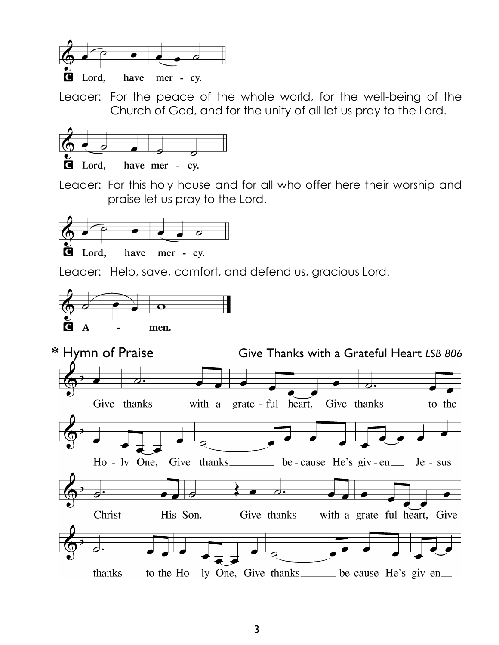

Leader: For the peace of the whole world, for the well-being of the Church of God, and for the unity of all let us pray to the Lord.



Leader: For this holy house and for all who offer here their worship and praise let us pray to the Lord.



Leader: Help, save, comfort, and defend us, gracious Lord.



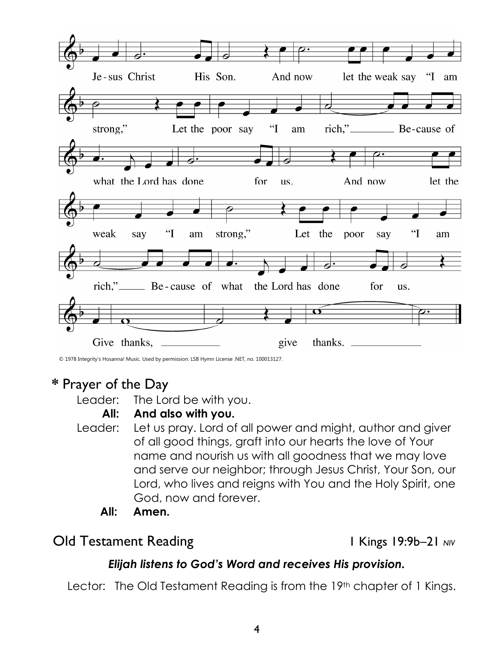

© 1978 Integrity's Hosanna! Music. Used by permission: LSB Hymn License .NET, no. 100013127.

## **\*** Prayer of the Day

Leader: The Lord be with you.

#### **All: And also with you.**

- Leader: Let us pray. Lord of all power and might, author and giver of all good things, graft into our hearts the love of Your name and nourish us with all goodness that we may love and serve our neighbor; through Jesus Christ, Your Son, our Lord, who lives and reigns with You and the Holy Spirit, one God, now and forever.
	- **All: Amen.**

## Old Testament Reading 1 Kings 19:9b–21 *NIV*

## *Elijah listens to God's Word and receives His provision.*

Lector: The Old Testament Reading is from the 19<sup>th</sup> chapter of 1 Kings.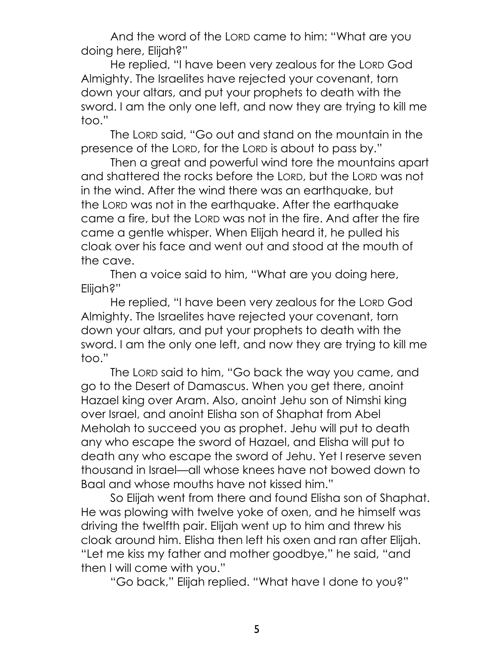And the word of the LORD came to him: "What are you doing here, Elijah?"

He replied, "I have been very zealous for the LORD God Almighty. The Israelites have rejected your covenant, torn down your altars, and put your prophets to death with the sword. I am the only one left, and now they are trying to kill me too."

The LORD said, "Go out and stand on the mountain in the presence of the LORD, for the LORD is about to pass by."

Then a great and powerful wind tore the mountains apart and shattered the rocks before the LORD, but the LORD was not in the wind. After the wind there was an earthquake, but the LORD was not in the earthquake. After the earthquake came a fire, but the LORD was not in the fire. And after the fire came a gentle whisper. When Elijah heard it, he pulled his cloak over his face and went out and stood at the mouth of the cave.

Then a voice said to him, "What are you doing here, Elijah?"

He replied, "I have been very zealous for the LORD God Almighty. The Israelites have rejected your covenant, torn down your altars, and put your prophets to death with the sword. I am the only one left, and now they are trying to kill me too."

The LORD said to him, "Go back the way you came, and go to the Desert of Damascus. When you get there, anoint Hazael king over Aram. Also, anoint Jehu son of Nimshi king over Israel, and anoint Elisha son of Shaphat from Abel Meholah to succeed you as prophet. Jehu will put to death any who escape the sword of Hazael, and Elisha will put to death any who escape the sword of Jehu. Yet I reserve seven thousand in Israel—all whose knees have not bowed down to Baal and whose mouths have not kissed him."

So Elijah went from there and found Elisha son of Shaphat. He was plowing with twelve yoke of oxen, and he himself was driving the twelfth pair. Elijah went up to him and threw his cloak around him. Elisha then left his oxen and ran after Elijah. "Let me kiss my father and mother goodbye," he said, "and then I will come with you."

"Go back," Elijah replied. "What have I done to you?"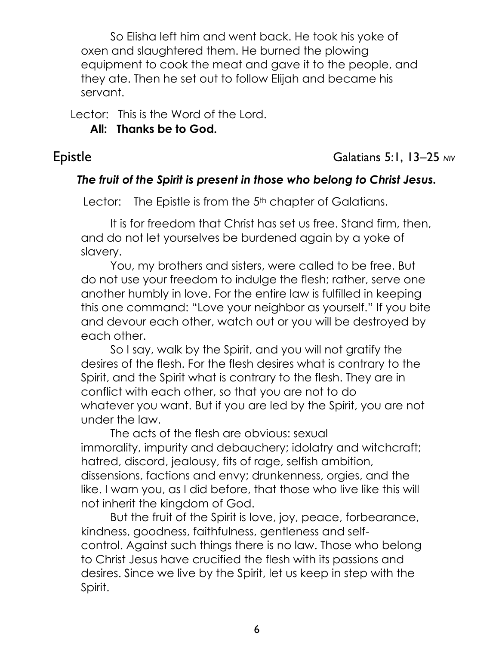So Elisha left him and went back. He took his yoke of oxen and slaughtered them. He burned the plowing equipment to cook the meat and gave it to the people, and they ate. Then he set out to follow Elijah and became his servant.

Lector: This is the Word of the Lord.

#### **All: Thanks be to God.**

#### Epistle Galatians 5:1, 13–25 *NIV*

### *The fruit of the Spirit is present in those who belong to Christ Jesus.*

Lector: The Epistle is from the 5<sup>th</sup> chapter of Galatians.

It is for freedom that Christ has set us free. Stand firm, then, and do not let yourselves be burdened again by a yoke of slavery.

You, my brothers and sisters, were called to be free. But do not use your freedom to indulge the flesh; rather, serve one another humbly in love. For the entire law is fulfilled in keeping this one command: "Love your neighbor as yourself." If you bite and devour each other, watch out or you will be destroyed by each other.

So I say, walk by the Spirit, and you will not gratify the desires of the flesh. For the flesh desires what is contrary to the Spirit, and the Spirit what is contrary to the flesh. They are in conflict with each other, so that you are not to do whatever you want. But if you are led by the Spirit, you are not under the law.

The acts of the flesh are obvious: sexual immorality, impurity and debauchery; idolatry and witchcraft; hatred, discord, jealousy, fits of rage, selfish ambition, dissensions, factions and envy; drunkenness, orgies, and the like. I warn you, as I did before, that those who live like this will not inherit the kingdom of God.

But the fruit of the Spirit is love, joy, peace, forbearance, kindness, goodness, faithfulness, gentleness and selfcontrol. Against such things there is no law. Those who belong to Christ Jesus have crucified the flesh with its passions and desires. Since we live by the Spirit, let us keep in step with the Spirit.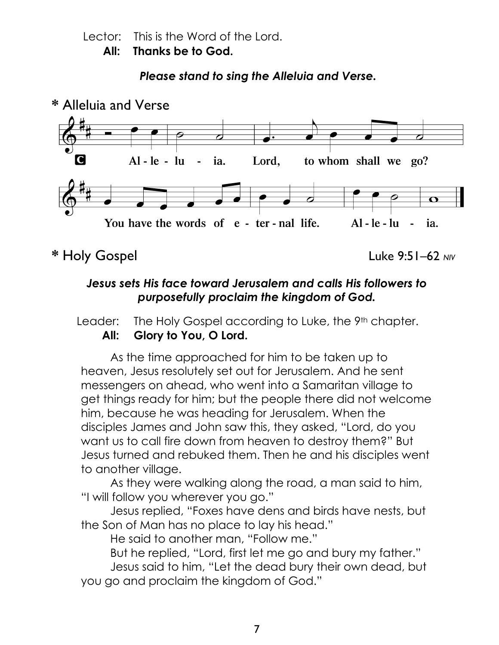Lector: This is the Word of the Lord.

**All: Thanks be to God.**

#### *Please stand to sing the Alleluia and Verse.*



## **\*** Holy Gospel Luke 9:51–62 *NIV*

#### *Jesus sets His face toward Jerusalem and calls His followers to purposefully proclaim the kingdom of God.*

Leader: The Holy Gospel according to Luke, the 9th chapter. **All: Glory to You, O Lord.**

As the time approached for him to be taken up to heaven, Jesus resolutely set out for Jerusalem. And he sent messengers on ahead, who went into a Samaritan village to get things ready for him; but the people there did not welcome him, because he was heading for Jerusalem. When the disciples James and John saw this, they asked, "Lord, do you want us to call fire down from heaven to destroy them?" But Jesus turned and rebuked them. Then he and his disciples went to another village.

As they were walking along the road, a man said to him, "I will follow you wherever you go."

Jesus replied, "Foxes have dens and birds have nests, but the Son of Man has no place to lay his head."

He said to another man, "Follow me."

But he replied, "Lord, first let me go and bury my father." Jesus said to him, "Let the dead bury their own dead, but you go and proclaim the kingdom of God."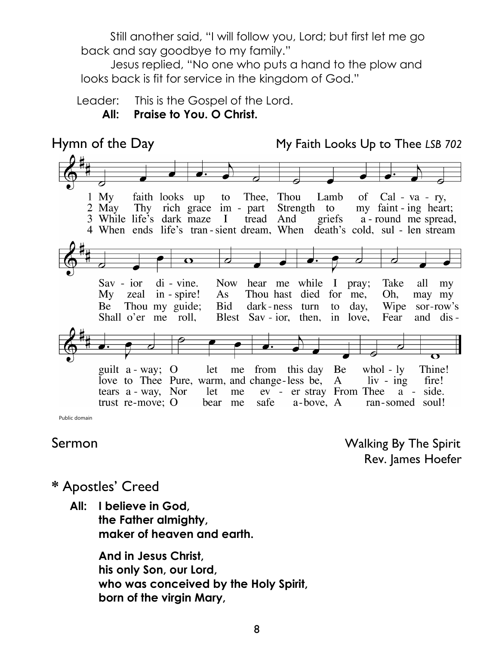Still another said, "I will follow you, Lord; but first let me go back and say goodbye to my family."

Jesus replied, "No one who puts a hand to the plow and looks back is fit for service in the kingdom of God."

Leader: This is the Gospel of the Lord.

#### **All: Praise to You. O Christ.**



Sermon Walking By The Spirit Rev. James Hoefer

#### **\*** Apostles' Creed

**All: I believe in God, the Father almighty, maker of heaven and earth.**

> **And in Jesus Christ, his only Son, our Lord, who was conceived by the Holy Spirit, born of the virgin Mary,**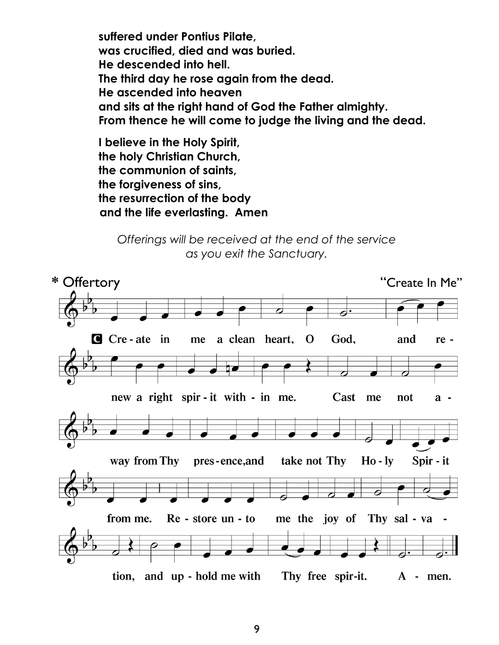**suffered under Pontius Pilate, was crucified, died and was buried. He descended into hell. The third day he rose again from the dead. He ascended into heaven and sits at the right hand of God the Father almighty. From thence he will come to judge the living and the dead.**

**I believe in the Holy Spirit, the holy Christian Church, the communion of saints, the forgiveness of sins, the resurrection of the body and the life everlasting. Amen**

> *Offerings will be received at the end of the service as you exit the Sanctuary.*

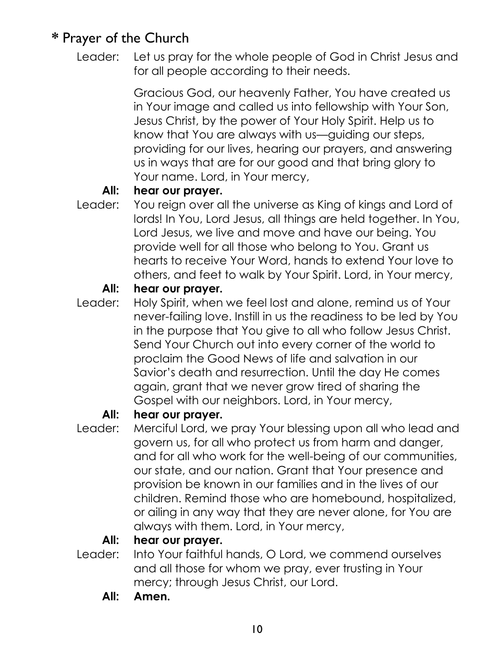# **\*** Prayer of the Church

Leader: Let us pray for the whole people of God in Christ Jesus and for all people according to their needs.

> Gracious God, our heavenly Father, You have created us in Your image and called us into fellowship with Your Son, Jesus Christ, by the power of Your Holy Spirit. Help us to know that You are always with us—guiding our steps, providing for our lives, hearing our prayers, and answering us in ways that are for our good and that bring glory to Your name. Lord, in Your mercy,

#### **All: hear our prayer.**

Leader: You reign over all the universe as King of kings and Lord of lords! In You, Lord Jesus, all things are held together. In You, Lord Jesus, we live and move and have our being. You provide well for all those who belong to You. Grant us hearts to receive Your Word, hands to extend Your love to others, and feet to walk by Your Spirit. Lord, in Your mercy,

#### **All: hear our prayer.**

Leader: Holy Spirit, when we feel lost and alone, remind us of Your never-failing love. Instill in us the readiness to be led by You in the purpose that You give to all who follow Jesus Christ. Send Your Church out into every corner of the world to proclaim the Good News of life and salvation in our Savior's death and resurrection. Until the day He comes again, grant that we never grow tired of sharing the Gospel with our neighbors. Lord, in Your mercy,

#### **All: hear our prayer.**

Leader: Merciful Lord, we pray Your blessing upon all who lead and govern us, for all who protect us from harm and danger, and for all who work for the well-being of our communities, our state, and our nation. Grant that Your presence and provision be known in our families and in the lives of our children. Remind those who are homebound, hospitalized, or ailing in any way that they are never alone, for You are always with them. Lord, in Your mercy,

#### **All: hear our prayer.**

- Leader: Into Your faithful hands, O Lord, we commend ourselves and all those for whom we pray, ever trusting in Your mercy; through Jesus Christ, our Lord.
	- **All: Amen.**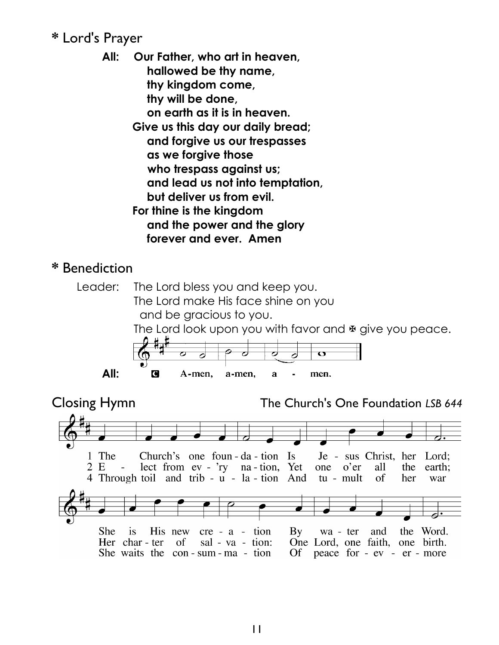## **\*** Lord's Prayer

**All: Our Father, who art in heaven, hallowed be thy name, thy kingdom come, thy will be done, on earth as it is in heaven. Give us this day our daily bread; and forgive us our trespasses as we forgive those who trespass against us; and lead us not into temptation, but deliver us from evil. For thine is the kingdom and the power and the glory forever and ever. Amen**

**\*** Benediction

Leader: The Lord bless you and keep you. The Lord make His face shine on you and be gracious to you. The Lord look upon you with favor and  $\mathcal F$  give you peace. **All:**  $\blacksquare$ A-men. a-men.  $\mathbf{a}$ men.

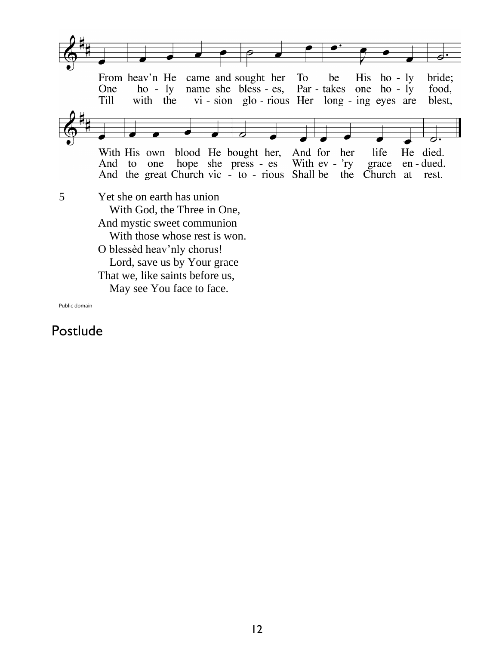|               | From heav'n He came and sought her To<br>His<br>be<br>$ho - ly$<br>bride;<br>name she bless - es, Par - takes<br>$ho - ly$<br>food,<br>One<br>one<br>$ho - ly$<br>Till<br>with the vi - sion glo - rious Her long - ing eyes are<br>blest, |
|---------------|--------------------------------------------------------------------------------------------------------------------------------------------------------------------------------------------------------------------------------------------|
|               |                                                                                                                                                                                                                                            |
|               |                                                                                                                                                                                                                                            |
|               | ♂.                                                                                                                                                                                                                                         |
|               | life<br>blood He bought her, And for<br>He died.<br>her<br>With His own                                                                                                                                                                    |
|               | hope she press - es<br>With ev - 'ry<br>en - dued.<br>And<br>to<br>one<br>grace                                                                                                                                                            |
|               | the great Church vic - to - rious Shall be the Church at<br>And<br>rest.                                                                                                                                                                   |
| 5             | Yet she on earth has union                                                                                                                                                                                                                 |
|               | With God, the Three in One,                                                                                                                                                                                                                |
|               | And mystic sweet communion                                                                                                                                                                                                                 |
|               | With those whose rest is won.                                                                                                                                                                                                              |
|               | O blessed heav'nly chorus!                                                                                                                                                                                                                 |
|               | Lord, save us by Your grace                                                                                                                                                                                                                |
|               | That we, like saints before us,                                                                                                                                                                                                            |
|               |                                                                                                                                                                                                                                            |
|               | May see You face to face.                                                                                                                                                                                                                  |
| Public domain |                                                                                                                                                                                                                                            |

# Postlude